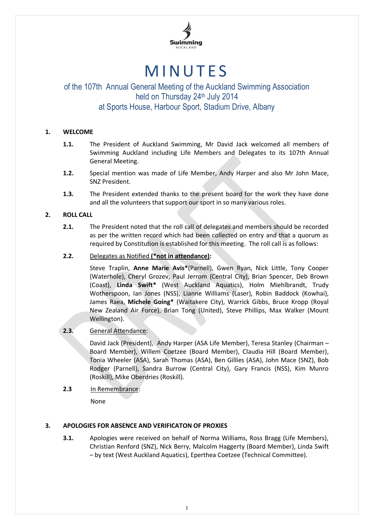

# **MINUTES**

# of the 107th Annual General Meeting of the Auckland Swimming Association held on Thursday 24 th July 2014 at Sports House, Harbour Sport, Stadium Drive, Albany

# **1. WELCOME**

- **1.1.** The President of Auckland Swimming, Mr David Jack welcomed all members of Swimming Auckland including Life Members and Delegates to its 107th Annual General Meeting.
- **1.2.** Special mention was made of Life Member, Andy Harper and also Mr John Mace, SNZ President.
- **1.3.** The President extended thanks to the present board for the work they have done and all the volunteers that support our sport in so many various roles.

# **2. ROLL CALL**

**2.1.** The President noted that the roll call of delegates and members should be recorded as per the written record which had been collected on entry and that a quorum as required by Constitution is established for this meeting. The roll call is as follows:

# **2.2.** Delegates as Notified **(\*not in attendance):**

Steve Traplin, **Anne Marie Avis\***(Parnell), Gwen Ryan, Nick Little, Tony Cooper (Waterhole), Cheryl Grozev, Paul Jerrom (Central City), Brian Spencer, Deb Brown (Coast), **Linda Swift\*** (West Auckland Aquatics), Holm Miehlbrandt, Trudy Wotherspoon, Ian Jones (NSS), Lianne Williams (Laser), Robin Baddock (Kowhai), James Raea, **Michele Going\*** (Waitakere City), Warrick Gibbs, Bruce Kropp (Royal New Zealand Air Force), Brian Tong (United), Steve Phillips, Max Walker (Mount Wellington).

#### **2.3.** General Attendance:

David Jack (President), Andy Harper (ASA Life Member), Teresa Stanley (Chairman – Board Member), Willem Coetzee (Board Member), Claudia Hill (Board Member), Tonia Wheeler (ASA), Sarah Thomas (ASA), Ben Gillies (ASA), John Mace (SNZ), Bob Rodger (Parnell), Sandra Burrow (Central City), Gary Francis (NSS), Kim Munro (Roskill), Mike Oberdries (Roskill).

**2.3** In Remembrance:

None

# **3. APOLOGIES FOR ABSENCE AND VERIFICATON OF PROXIES**

**3.1.** Apologies were received on behalf of Norma Williams, Ross Bragg (Life Members), Christian Renford (SNZ), Nick Berry, Malcolm Haggerty (Board Member), Linda Swift – by text (West Auckland Aquatics), Eperthea Coetzee (Technical Committee).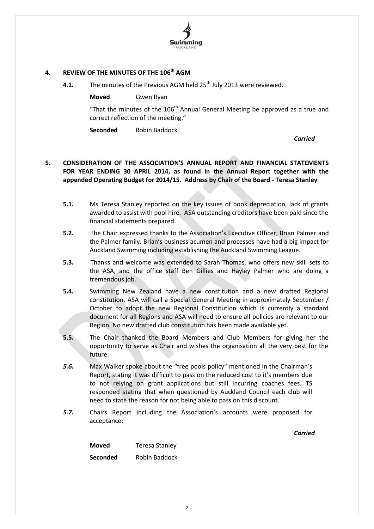# Swimmina

# **4. REVIEW OF THE MINUTES OF THE 106 th AGM**

**4.1.** The minutes of the Previous AGM held 25<sup>th</sup> July 2013 were reviewed.

**Moved** Gwen Ryan

"That the minutes of the  $106<sup>th</sup>$  Annual General Meeting be approved as a true and correct reflection of the meeting."

**Seconded** Robin Baddock

*Carried*

# **5. CONSIDERATION OF THE ASSOCIATION'S ANNUAL REPORT AND FINANCIAL STATEMENTS FOR YEAR ENDING 30 APRIL 2014, as found in the Annual Report together with the appended Operating Budget for 2014/15. Address by Chair of the Board - Teresa Stanley**

- **5.1.** Ms Teresa Stanley reported on the key issues of book depreciation, lack of grants awarded to assist with pool hire. ASA outstanding creditors have been paid since the financial statements prepared.
- **5.2.** The Chair expressed thanks to the Association's Executive Officer, Brian Palmer and the Palmer family. Brian's business acumen and processes have had a big impact for Auckland Swimming including establishing the Auckland Swimming League.
- **5.3.** Thanks and welcome was extended to Sarah Thomas, who offers new skill sets to the ASA, and the office staff Ben Gillies and Hayley Palmer who are doing a tremendous job.
- **5.4.** Swimming New Zealand have a new constitution and a new drafted Regional constitution. ASA will call a Special General Meeting in approximately September / October to adopt the new Regional Constitution which is currently a standard document for all Regions and ASA will need to ensure all policies are relevant to our Region. No new drafted club constitution has been made available yet.
- **5.5.** The Chair thanked the Board Members and Club Members for giving her the opportunity to serve as Chair and wishes the organisation all the very best for the future.
- *5.6.* Max Walker spoke about the "free pools policy" mentioned in the Chairman's Report, stating it was difficult to pass on the reduced cost to it's members due to not relying on grant applications but still incurring coaches fees. TS responded stating that when questioned by Auckland Council each club will need to state the reason for not being able to pass on this discount.
- *5.7.* Chairs Report including the Association's accounts were proposed for acceptance:

*Carried*

**Moved** Teresa Stanley

**Seconded** Robin Baddock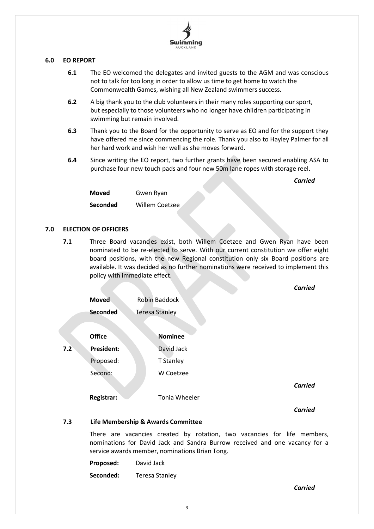

#### **6.0 EO REPORT**

- **6.1** The EO welcomed the delegates and invited guests to the AGM and was conscious not to talk for too long in order to allow us time to get home to watch the Commonwealth Games, wishing all New Zealand swimmers success.
- **6.2** A big thank you to the club volunteers in their many roles supporting our sport, but especially to those volunteers who no longer have children participating in swimming but remain involved.
- **6.3** Thank you to the Board for the opportunity to serve as EO and for the support they have offered me since commencing the role. Thank you also to Hayley Palmer for all her hard work and wish her well as she moves forward.
- **6.4** Since writing the EO report, two further grants have been secured enabling ASA to purchase four new touch pads and four new 50m lane ropes with storage reel.

*Carried*

**Moved** Gwen Ryan **Seconded** Willem Coetzee

# **7.0 ELECTION OF OFFICERS**

**7.1** Three Board vacancies exist, both Willem Coetzee and Gwen Ryan have been nominated to be re-elected to serve. With our current constitution we offer eight board positions, with the new Regional constitution only six Board positions are available. It was decided as no further nominations were received to implement this policy with immediate effect.

|     |                   |                       | <b>Carried</b> |
|-----|-------------------|-----------------------|----------------|
|     | <b>Moved</b>      | <b>Robin Baddock</b>  |                |
|     | <b>Seconded</b>   | <b>Teresa Stanley</b> |                |
|     | <b>Office</b>     | <b>Nominee</b>        |                |
| 7.2 | <b>President:</b> | David Jack            |                |
|     | Proposed:         | T Stanley             |                |
|     | Second:           | W Coetzee             |                |
|     |                   |                       | <b>Carried</b> |
|     | Registrar:        | Tonia Wheeler         |                |
|     |                   |                       | <b>Carried</b> |

#### **7.3 Life Membership & Awards Committee**

There are vacancies created by rotation, two vacancies for life members, nominations for David Jack and Sandra Burrow received and one vacancy for a service awards member, nominations Brian Tong.

| Proposed: | David Jack            |
|-----------|-----------------------|
| Seconded: | <b>Teresa Stanley</b> |

*Carried*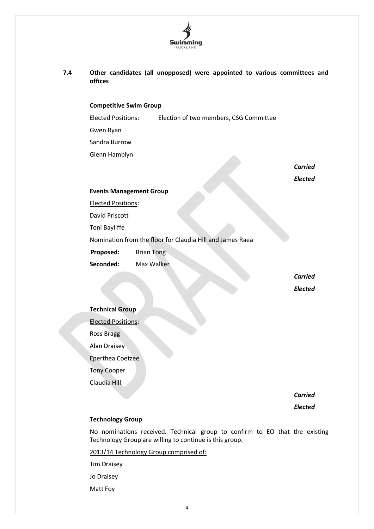

**7.4 Other candidates (all unopposed) were appointed to various committees and offices**

#### **Competitive Swim Group**

Elected Positions: Election of two members, CSG Committee

Gwen Ryan

Sandra Burrow

Glenn Hamblyn

*Carried Elected*

#### **Events Management Group**

Elected Positions:

David Priscott

Toni Bayliffe

Nomination from the floor for Claudia Hill and James Raea

**Proposed:** Brian Tong

**Seconded:** Max Walker

*Carried Elected*

#### **Technical Group**

Elected Positions:

Ross Bragg

Alan Draisey

Eperthea Coetzee

Tony Cooper

Claudia Hill

*Carried*

*Elected*

#### **Technology Group**

No nominations received. Technical group to confirm to EO that the existing Technology Group are willing to continue is this group.

2013/14 Technology Group comprised of:

Tim Draisey

Jo Draisey

Matt Foy